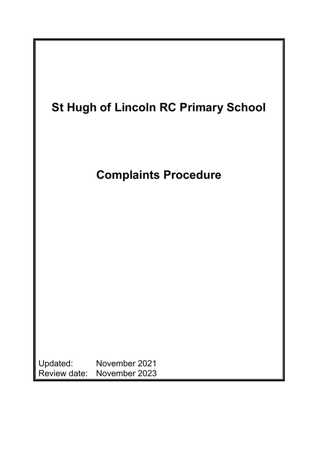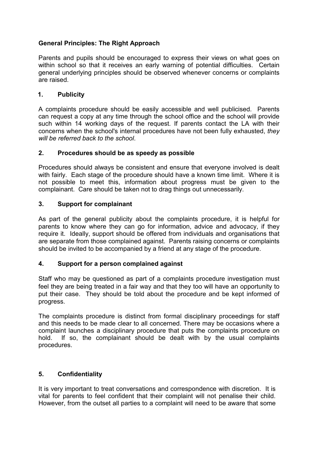# **General Principles: The Right Approach**

Parents and pupils should be encouraged to express their views on what goes on within school so that it receives an early warning of potential difficulties. Certain general underlying principles should be observed whenever concerns or complaints are raised.

### **1. Publicity**

A complaints procedure should be easily accessible and well publicised. Parents can request a copy at any time through the school office and the school will provide such within 14 working days of the request. If parents contact the LA with their concerns when the school's internal procedures have not been fully exhausted, *they will be referred back to the school*.

### **2. Procedures should be as speedy as possible**

Procedures should always be consistent and ensure that everyone involved is dealt with fairly. Each stage of the procedure should have a known time limit. Where it is not possible to meet this, information about progress must be given to the complainant. Care should be taken not to drag things out unnecessarily.

### **3. Support for complainant**

As part of the general publicity about the complaints procedure, it is helpful for parents to know where they can go for information, advice and advocacy, if they require it. Ideally, support should be offered from individuals and organisations that are separate from those complained against. Parents raising concerns or complaints should be invited to be accompanied by a friend at any stage of the procedure.

#### **4. Support for a person complained against**

Staff who may be questioned as part of a complaints procedure investigation must feel they are being treated in a fair way and that they too will have an opportunity to put their case. They should be told about the procedure and be kept informed of progress.

The complaints procedure is distinct from formal disciplinary proceedings for staff and this needs to be made clear to all concerned. There may be occasions where a complaint launches a disciplinary procedure that puts the complaints procedure on hold. If so, the complainant should be dealt with by the usual complaints procedures.

## **5. Confidentiality**

It is very important to treat conversations and correspondence with discretion. It is vital for parents to feel confident that their complaint will not penalise their child. However, from the outset all parties to a complaint will need to be aware that some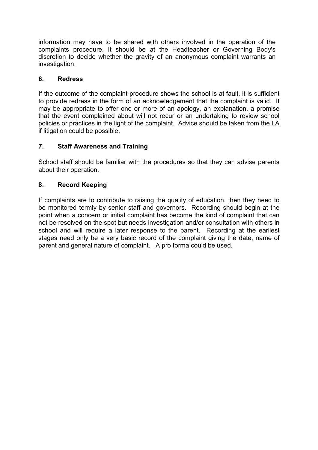information may have to be shared with others involved in the operation of the complaints procedure. It should be at the Headteacher or Governing Body's discretion to decide whether the gravity of an anonymous complaint warrants an investigation.

## **6. Redress**

If the outcome of the complaint procedure shows the school is at fault, it is sufficient to provide redress in the form of an acknowledgement that the complaint is valid. It may be appropriate to offer one or more of an apology, an explanation, a promise that the event complained about will not recur or an undertaking to review school policies or practices in the light of the complaint. Advice should be taken from the LA if litigation could be possible.

## **7. Staff Awareness and Training**

School staff should be familiar with the procedures so that they can advise parents about their operation.

### **8. Record Keeping**

If complaints are to contribute to raising the quality of education, then they need to be monitored termly by senior staff and governors. Recording should begin at the point when a concern or initial complaint has become the kind of complaint that can not be resolved on the spot but needs investigation and/or consultation with others in school and will require a later response to the parent. Recording at the earliest stages need only be a very basic record of the complaint giving the date, name of parent and general nature of complaint. A pro forma could be used.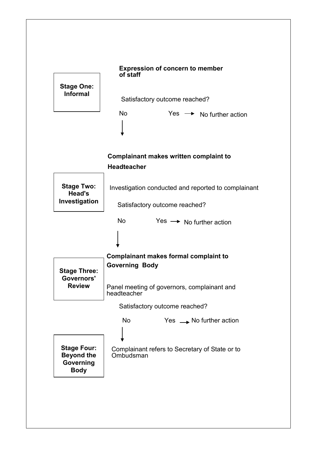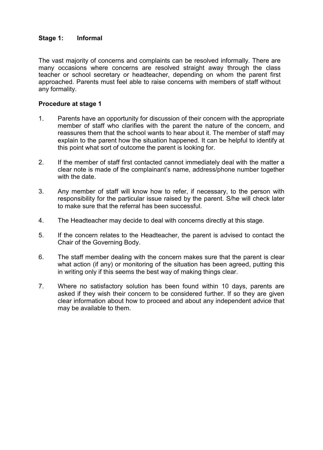#### **Stage 1: Informal**

The vast majority of concerns and complaints can be resolved informally. There are many occasions where concerns are resolved straight away through the class teacher or school secretary or headteacher, depending on whom the parent first approached. Parents must feel able to raise concerns with members of staff without any formality.

#### **Procedure at stage 1**

- 1. Parents have an opportunity for discussion of their concern with the appropriate member of staff who clarifies with the parent the nature of the concern, and reassures them that the school wants to hear about it. The member of staff may explain to the parent how the situation happened. It can be helpful to identify at this point what sort of outcome the parent is looking for.
- 2. If the member of staff first contacted cannot immediately deal with the matter a clear note is made of the complainant's name, address/phone number together with the date.
- 3. Any member of staff will know how to refer, if necessary, to the person with responsibility for the particular issue raised by the parent. S/he will check later to make sure that the referral has been successful.
- 4. The Headteacher may decide to deal with concerns directly at this stage.
- 5. If the concern relates to the Headteacher, the parent is advised to contact the Chair of the Governing Body.
- 6. The staff member dealing with the concern makes sure that the parent is clear what action (if any) or monitoring of the situation has been agreed, putting this in writing only if this seems the best way of making things clear.
- 7. Where no satisfactory solution has been found within 10 days, parents are asked if they wish their concern to be considered further. If so they are given clear information about how to proceed and about any independent advice that may be available to them.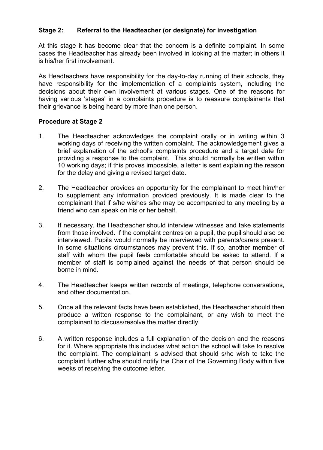## **Stage 2: Referral to the Headteacher (or designate) for investigation**

At this stage it has become clear that the concern is a definite complaint. In some cases the Headteacher has already been involved in looking at the matter; in others it is his/her first involvement.

As Headteachers have responsibility for the day-to-day running of their schools, they have responsibility for the implementation of a complaints system, including the decisions about their own involvement at various stages. One of the reasons for having various 'stages' in a complaints procedure is to reassure complainants that their grievance is being heard by more than one person.

#### **Procedure at Stage 2**

- 1. The Headteacher acknowledges the complaint orally or in writing within 3 working days of receiving the written complaint. The acknowledgement gives a brief explanation of the school's complaints procedure and a target date for providing a response to the complaint. This should normally be written within 10 working days; if this proves impossible, a letter is sent explaining the reason for the delay and giving a revised target date.
- 2. The Headteacher provides an opportunity for the complainant to meet him/her to supplement any information provided previously. It is made clear to the complainant that if s/he wishes s/he may be accompanied to any meeting by a friend who can speak on his or her behalf.
- 3. If necessary, the Headteacher should interview witnesses and take statements from those involved. If the complaint centres on a pupil, the pupil should also be interviewed. Pupils would normally be interviewed with parents/carers present. In some situations circumstances may prevent this. If so, another member of staff with whom the pupil feels comfortable should be asked to attend. If a member of staff is complained against the needs of that person should be borne in mind.
- 4. The Headteacher keeps written records of meetings, telephone conversations, and other documentation.
- 5. Once all the relevant facts have been established, the Headteacher should then produce a written response to the complainant, or any wish to meet the complainant to discuss/resolve the matter directly.
- 6. A written response includes a full explanation of the decision and the reasons for it. Where appropriate this includes what action the school will take to resolve the complaint. The complainant is advised that should s/he wish to take the complaint further s/he should notify the Chair of the Governing Body within five weeks of receiving the outcome letter.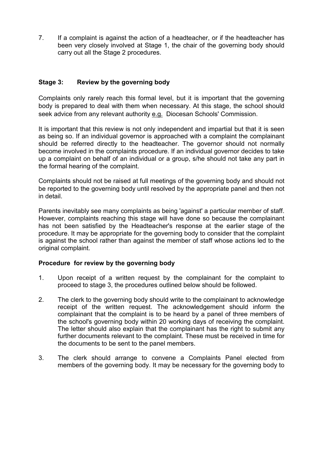7. If a complaint is against the action of a headteacher, or if the headteacher has been very closely involved at Stage 1, the chair of the governing body should carry out all the Stage 2 procedures.

### **Stage 3: Review by the governing body**

Complaints only rarely reach this formal level, but it is important that the governing body is prepared to deal with them when necessary. At this stage, the school should seek advice from any relevant authority e.g. Diocesan Schools' Commission.

It is important that this review is not only independent and impartial but that it is seen as being so. If an individual governor is approached with a complaint the complainant should be referred directly to the headteacher. The governor should not normally become involved in the complaints procedure. If an individual governor decides to take up a complaint on behalf of an individual or a group, s/he should not take any part in the formal hearing of the complaint.

Complaints should not be raised at full meetings of the governing body and should not be reported to the governing body until resolved by the appropriate panel and then not in detail.

Parents inevitably see many complaints as being 'against' a particular member of staff. However, complaints reaching this stage will have done so because the complainant has not been satisfied by the Headteacher's response at the earlier stage of the procedure. It may be appropriate for the governing body to consider that the complaint is against the school rather than against the member of staff whose actions led to the original complaint.

#### **Procedure for review by the governing body**

- 1. Upon receipt of a written request by the complainant for the complaint to proceed to stage 3, the procedures outlined below should be followed.
- 2. The clerk to the governing body should write to the complainant to acknowledge receipt of the written request. The acknowledgement should inform the complainant that the complaint is to be heard by a panel of three members of the school's governing body within 20 working days of receiving the complaint. The letter should also explain that the complainant has the right to submit any further documents relevant to the complaint. These must be received in time for the documents to be sent to the panel members.
- 3. The clerk should arrange to convene a Complaints Panel elected from members of the governing body. It may be necessary for the governing body to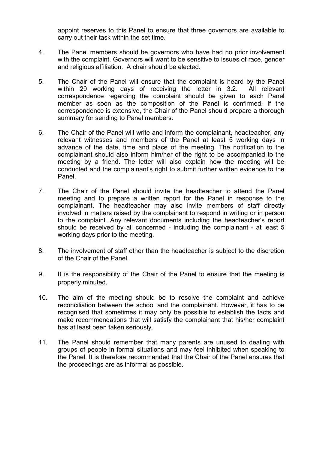appoint reserves to this Panel to ensure that three governors are available to carry out their task within the set time.

- 4. The Panel members should be governors who have had no prior involvement with the complaint. Governors will want to be sensitive to issues of race, gender and religious affiliation. A chair should be elected.
- 5. The Chair of the Panel will ensure that the complaint is heard by the Panel within 20 working days of receiving the letter in 3.2. All relevant correspondence regarding the complaint should be given to each Panel member as soon as the composition of the Panel is confirmed. If the correspondence is extensive, the Chair of the Panel should prepare a thorough summary for sending to Panel members.
- 6. The Chair of the Panel will write and inform the complainant, headteacher, any relevant witnesses and members of the Panel at least 5 working days in advance of the date, time and place of the meeting. The notification to the complainant should also inform him/her of the right to be accompanied to the meeting by a friend. The letter will also explain how the meeting will be conducted and the complainant's right to submit further written evidence to the Panel.
- 7. The Chair of the Panel should invite the headteacher to attend the Panel meeting and to prepare a written report for the Panel in response to the complainant. The headteacher may also invite members of staff directly involved in matters raised by the complainant to respond in writing or in person to the complaint. Any relevant documents including the headteacher's report should be received by all concerned - including the complainant - at least 5 working days prior to the meeting.
- 8. The involvement of staff other than the headteacher is subject to the discretion of the Chair of the Panel.
- 9. It is the responsibility of the Chair of the Panel to ensure that the meeting is properly minuted.
- 10. The aim of the meeting should be to resolve the complaint and achieve reconciliation between the school and the complainant. However, it has to be recognised that sometimes it may only be possible to establish the facts and make recommendations that will satisfy the complainant that his/her complaint has at least been taken seriously.
- 11. The Panel should remember that many parents are unused to dealing with groups of people in formal situations and may feel inhibited when speaking to the Panel. It is therefore recommended that the Chair of the Panel ensures that the proceedings are as informal as possible.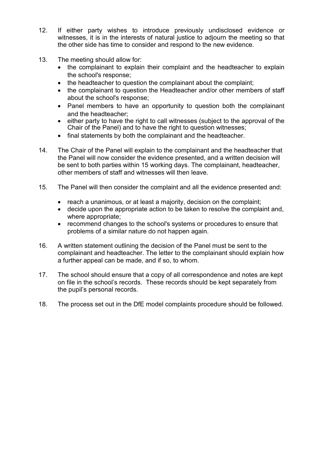- 12. If either party wishes to introduce previously undisclosed evidence or witnesses, it is in the interests of natural justice to adjourn the meeting so that the other side has time to consider and respond to the new evidence.
- 13. The meeting should allow for:
	- the complainant to explain their complaint and the headteacher to explain the school's response;
	- the headteacher to question the complainant about the complaint;
	- the complainant to question the Headteacher and/or other members of staff about the school's response;
	- Panel members to have an opportunity to question both the complainant and the headteacher;
	- either party to have the right to call witnesses (subject to the approval of the Chair of the Panel) and to have the right to question witnesses;
	- final statements by both the complainant and the headteacher.
- 14. The Chair of the Panel will explain to the complainant and the headteacher that the Panel will now consider the evidence presented, and a written decision will be sent to both parties within 15 working days. The complainant, headteacher, other members of staff and witnesses will then leave.
- 15. The Panel will then consider the complaint and all the evidence presented and:
	- reach a unanimous, or at least a majority, decision on the complaint;
	- decide upon the appropriate action to be taken to resolve the complaint and, where appropriate;
	- recommend changes to the school's systems or procedures to ensure that problems of a similar nature do not happen again.
- 16. A written statement outlining the decision of the Panel must be sent to the complainant and headteacher. The letter to the complainant should explain how a further appeal can be made, and if so, to whom.
- 17. The school should ensure that a copy of all correspondence and notes are kept on file in the school's records. These records should be kept separately from the pupil's personal records.
- 18. The process set out in the DfE model complaints procedure should be followed.